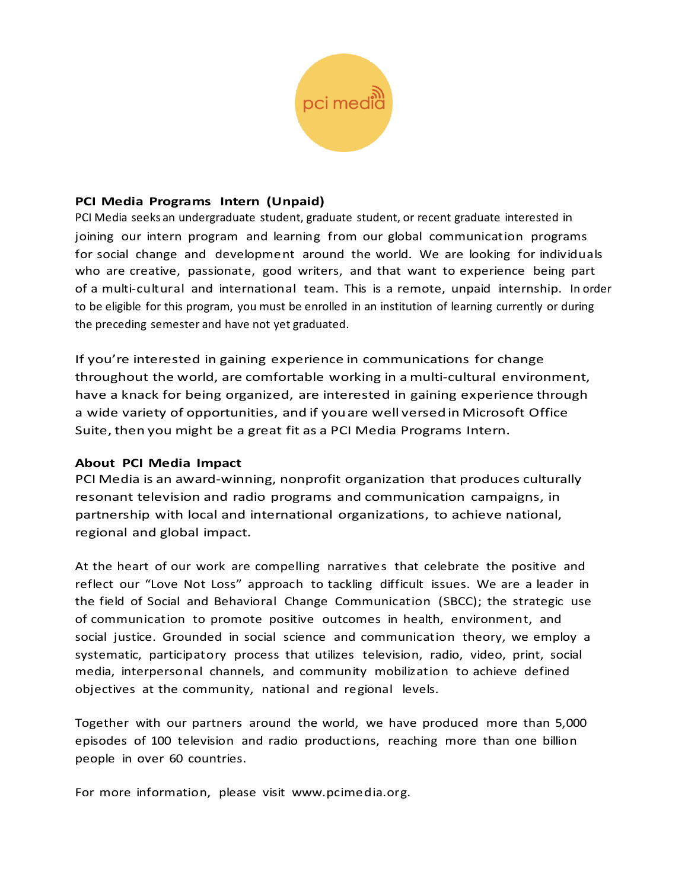

### **PCI Media Programs Intern (Unpaid)**

PCI Media seeks an undergraduate student, graduate student, or recent graduate interested in joining our intern program and learning from our global communication programs for social change and development around the world. We are looking for individuals who are creative, passionate, good writers, and that want to experience being part of a multi-cultural and international team. This is a remote, unpaid internship. In order to be eligible for this program, you must be enrolled in an institution of learning currently or during the preceding semester and have not yet graduated.

If you're interested in gaining experience in communications for change throughout the world, are comfortable working in a multi-cultural environment, have a knack for being organized, are interested in gaining experience through a wide variety of opportunities, and if youare well versedin Microsoft Office Suite, then you might be a great fit as a PCI Media Programs Intern.

# **About PCI Media Impact**

PCI Media is an award-winning, nonprofit organization that produces culturally resonant television and radio programs and communication campaigns, in partnership with local and international organizations, to achieve national, regional and global impact.

At the heart of our work are compelling narratives that celebrate the positive and reflect our "Love Not Loss" approach to tackling difficult issues. We are a leader in the field of Social and Behavioral Change Communication (SBCC); the strategic use of communication to promote positive outcomes in health, environment, and social justice. Grounded in social science and communication theory, we employ a systematic, participatory process that utilizes television, radio, video, print, social media, interpersonal channels, and community mobilization to achieve defined objectives at the community, national and regional levels.

Together with our partners around the world, we have produced more than 5,000 episodes of 100 television and radio productions, reaching more than one billion people in over 60 countries.

For more information, please visit www.pcimedia.org.